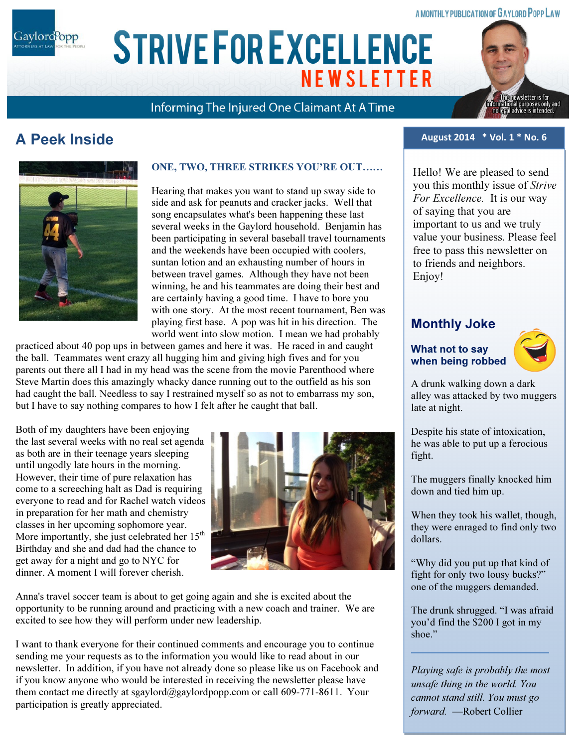#### A MONTHLY PUBLICATION OF GAYLORD POPP LAW

Gaylord<sup>P</sup>opp

# ARIAL 15 POINT BOLD CAPS FOR CO. NAME **STRIVE FOR EXCELLENCE NEWSLETTER**

Informing The Injured One Claimant At A Time

### A Peek Inside



#### ONE, TWO, THREE STRIKES YOU'RE OUT……

Hearing that makes you want to stand up sway side to side and ask for peanuts and cracker jacks. Well that song encapsulates what's been happening these last several weeks in the Gaylord household. Benjamin has been participating in several baseball travel tournaments and the weekends have been occupied with coolers, suntan lotion and an exhausting number of hours in between travel games. Although they have not been winning, he and his teammates are doing their best and are certainly having a good time. I have to bore you with one story. At the most recent tournament, Ben was playing first base. A pop was hit in his direction. The world went into slow motion. I mean we had probably

practiced about 40 pop ups in between games and here it was. He raced in and caught the ball. Teammates went crazy all hugging him and giving high fives and for you parents out there all I had in my head was the scene from the movie Parenthood where Steve Martin does this amazingly whacky dance running out to the outfield as his son had caught the ball. Needless to say I restrained myself so as not to embarrass my son, but I have to say nothing compares to how I felt after he caught that ball.

Both of my daughters have been enjoying the last several weeks with no real set agenda as both are in their teenage years sleeping until ungodly late hours in the morning. However, their time of pure relaxation has come to a screeching halt as Dad is requiring everyone to read and for Rachel watch videos in preparation for her math and chemistry classes in her upcoming sophomore year. More importantly, she just celebrated her  $15<sup>th</sup>$ Birthday and she and dad had the chance to get away for a night and go to NYC for dinner. A moment I will forever cherish.



Anna's travel soccer team is about to get going again and she is excited about the opportunity to be running around and practicing with a new coach and trainer. We are excited to see how they will perform under new leadership.

I want to thank everyone for their continued comments and encourage you to continue sending me your requests as to the information you would like to read about in our newsletter. In addition, if you have not already done so please like us on Facebook and if you know anyone who would be interested in receiving the newsletter please have them contact me directly at sgaylord@gaylordpopp.com or call 609-771-8611. Your participation is greatly appreciated.

#### August 2014 \* Vol. 1 \* No. 6

Hello! We are pleased to send you this monthly issue of Strive For Excellence. It is our way of saying that you are important to us and we truly value your business. Please feel free to pass this newsletter on to friends and neighbors. Enjoy!

### Monthly Joke

#### What not to say when being robbed



A drunk walking down a dark alley was attacked by two muggers late at night.

Despite his state of intoxication, he was able to put up a ferocious fight.

The muggers finally knocked him down and tied him up.

When they took his wallet, though, they were enraged to find only two dollars.

"Why did you put up that kind of fight for only two lousy bucks?" one of the muggers demanded.

The drunk shrugged. "I was afraid you'd find the \$200 I got in my shoe."

Playing safe is probably the most unsafe thing in the world. You cannot stand still. You must go forward. —Robert Collier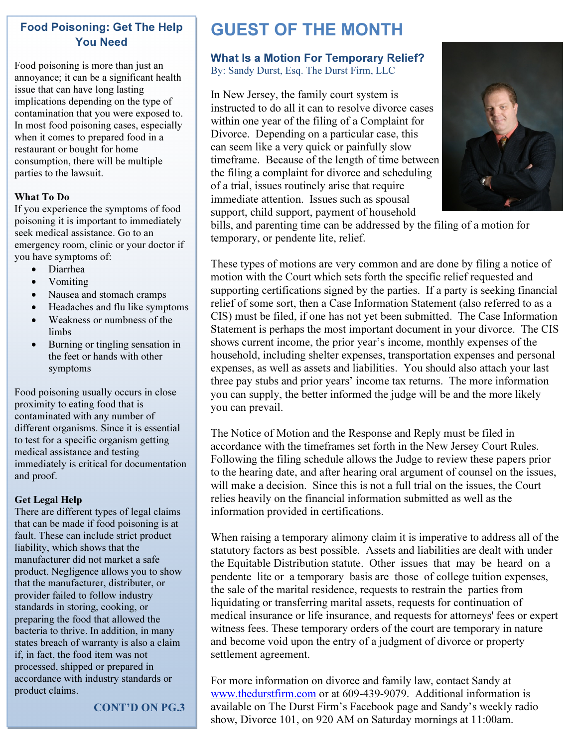#### Food Poisoning: Get The Help You Need

Food poisoning is more than just an annoyance; it can be a significant health issue that can have long lasting implications depending on the type of contamination that you were exposed to. In most food poisoning cases, especially when it comes to prepared food in a restaurant or bought for home consumption, there will be multiple parties to the lawsuit.

#### What To Do

If you experience the symptoms of food poisoning it is important to immediately seek medical assistance. Go to an emergency room, clinic or your doctor if you have symptoms of:

- Diarrhea
- Vomiting
- Nausea and stomach cramps
- Headaches and flu like symptoms
- Weakness or numbness of the limbs
- Burning or tingling sensation in the feet or hands with other symptoms

Food poisoning usually occurs in close proximity to eating food that is contaminated with any number of different organisms. Since it is essential to test for a specific organism getting medical assistance and testing immediately is critical for documentation and proof.

#### Get Legal Help

There are different types of legal claims that can be made if food poisoning is at fault. These can include strict product liability, which shows that the manufacturer did not market a safe product. Negligence allows you to show that the manufacturer, distributer, or provider failed to follow industry standards in storing, cooking, or preparing the food that allowed the bacteria to thrive. In addition, in many states breach of warranty is also a claim if, in fact, the food item was not processed, shipped or prepared in accordance with industry standards or product claims.

CONT'D ON PG.3

## GUEST OF THE MONTH

#### What Is a Motion For Temporary Relief? By: Sandy Durst, Esq. The Durst Firm, LLC

In New Jersey, the family court system is instructed to do all it can to resolve divorce cases within one year of the filing of a Complaint for Divorce. Depending on a particular case, this can seem like a very quick or painfully slow timeframe. Because of the length of time between the filing a complaint for divorce and scheduling of a trial, issues routinely arise that require immediate attention. Issues such as spousal support, child support, payment of household



bills, and parenting time can be addressed by the filing of a motion for temporary, or pendente lite, relief.

These types of motions are very common and are done by filing a notice of motion with the Court which sets forth the specific relief requested and supporting certifications signed by the parties. If a party is seeking financial relief of some sort, then a Case Information Statement (also referred to as a CIS) must be filed, if one has not yet been submitted. The Case Information Statement is perhaps the most important document in your divorce. The CIS shows current income, the prior year's income, monthly expenses of the household, including shelter expenses, transportation expenses and personal expenses, as well as assets and liabilities. You should also attach your last three pay stubs and prior years' income tax returns. The more information you can supply, the better informed the judge will be and the more likely you can prevail.

The Notice of Motion and the Response and Reply must be filed in accordance with the timeframes set forth in the New Jersey Court Rules. Following the filing schedule allows the Judge to review these papers prior to the hearing date, and after hearing oral argument of counsel on the issues, will make a decision. Since this is not a full trial on the issues, the Court relies heavily on the financial information submitted as well as the information provided in certifications.

When raising a temporary alimony claim it is imperative to address all of the statutory factors as best possible. Assets and liabilities are dealt with under the Equitable Distribution statute. Other issues that may be heard on a pendente lite or a temporary basis are those of college tuition expenses, the sale of the marital residence, requests to restrain the parties from liquidating or transferring marital assets, requests for continuation of medical insurance or life insurance, and requests for attorneys' fees or expert witness fees. These temporary orders of the court are temporary in nature and become void upon the entry of a judgment of divorce or property settlement agreement.

For more information on divorce and family law, contact Sandy at www.thedurstfirm.com or at 609-439-9079. Additional information is available on The Durst Firm's Facebook page and Sandy's weekly radio show, Divorce 101, on 920 AM on Saturday mornings at 11:00am.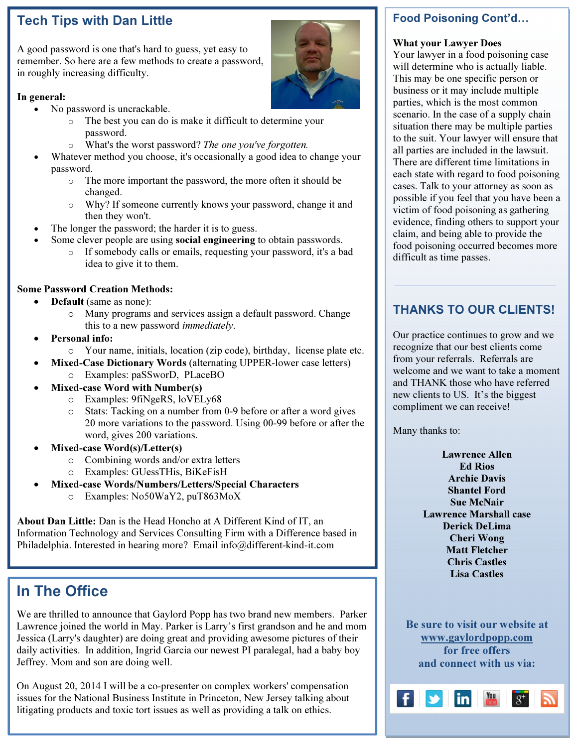### Tech Tips with Dan Little

A good password is one that's hard to guess, yet easy to remember. So here are a few methods to create a password, in roughly increasing difficulty.

#### In general:

- No password is uncrackable.
	- o The best you can do is make it difficult to determine your password.
	- o What's the worst password? The one you've forgotten.
- Whatever method you choose, it's occasionally a good idea to change your password.
	- o The more important the password, the more often it should be changed.
	- o Why? If someone currently knows your password, change it and then they won't.
- The longer the password; the harder it is to guess.
- Some clever people are using **social engineering** to obtain passwords.
	- o If somebody calls or emails, requesting your password, it's a bad idea to give it to them.

#### Some Password Creation Methods:

- **Default** (same as none):
	- o Many programs and services assign a default password. Change this to a new password immediately.
- Personal info:
	- o Your name, initials, location (zip code), birthday, license plate etc.
- Mixed-Case Dictionary Words (alternating UPPER-lower case letters) o Examples: paSSworD, PLaceBO
- Mixed-case Word with Number(s)
	- o Examples: 9fiNgeRS, loVELy68
	- o Stats: Tacking on a number from 0-9 before or after a word gives 20 more variations to the password. Using 00-99 before or after the word, gives 200 variations.
- Mixed-case Word(s)/Letter(s)
	- o Combining words and/or extra letters
	- o Examples: GUessTHis, BiKeFisH
- Mixed-case Words/Numbers/Letters/Special Characters
	- o Examples: No50WaY2, puT863MoX

About Dan Little: Dan is the Head Honcho at A Different Kind of IT, an Information Technology and Services Consulting Firm with a Difference based in Philadelphia. Interested in hearing more? Email info@different-kind-it.com

### In The Office

We are thrilled to announce that Gaylord Popp has two brand new members. Parker Lawrence joined the world in May. Parker is Larry's first grandson and he and mom Jessica (Larry's daughter) are doing great and providing awesome pictures of their daily activities. In addition, Ingrid Garcia our newest PI paralegal, had a baby boy Jeffrey. Mom and son are doing well.

On August 20, 2014 I will be a co-presenter on complex workers' compensation issues for the National Business Institute in Princeton, New Jersey talking about litigating products and toxic tort issues as well as providing a talk on ethics.

#### Food Poisoning Cont'd

#### What your Lawyer Does

Your lawyer in a food poisoning case will determine who is actually liable. This may be one specific person or business or it may include multiple parties, which is the most common scenario. In the case of a supply chain situation there may be multiple parties to the suit. Your lawyer will ensure that all parties are included in the lawsuit. There are different time limitations in each state with regard to food poisoning cases. Talk to your attorney as soon as possible if you feel that you have been a victim of food poisoning as gathering evidence, finding others to support your claim, and being able to provide the food poisoning occurred becomes more difficult as time passes.

### THANKS TO OUR CLIENTS!

Our practice continues to grow and we recognize that our best clients come from your referrals. Referrals are welcome and we want to take a moment and THANK those who have referred new clients to US. It's the biggest compliment we can receive!

Many thanks to:

Lawrence Allen Ed Rios Archie Davis Shantel Ford Sue McNair Lawrence Marshall case Derick DeLima Cheri Wong Matt Fletcher Chris Castles Lisa Castles

Be sure to visit our website at www.gaylordpopp.com for free offers and connect with us via: